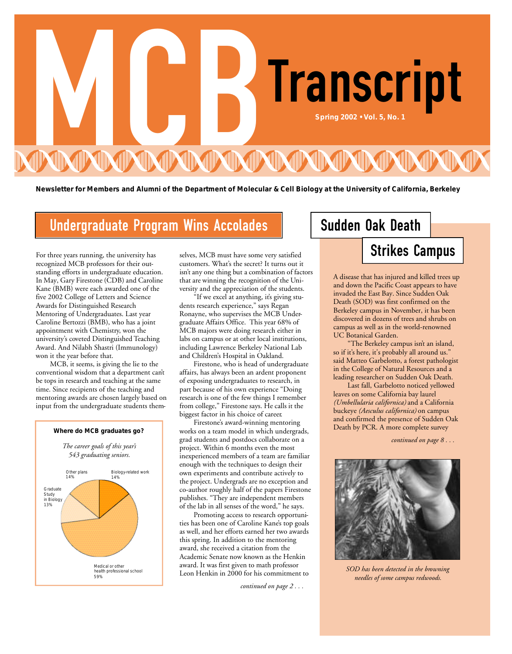

Newsletter for Members and Alumni of the Department of Molecular & Cell Biology at the University of California, Berkeley

## Undergraduate Program Wins Accolades | Sudden Oak Death

For three years running, the university has recognized MCB professors for their outstanding efforts in undergraduate education. In May, Gary Firestone (CDB) and Caroline Kane (BMB) were each awarded one of the five 2002 College of Letters and Science Awards for Distinguished Research Mentoring of Undergraduates. Last year Caroline Bertozzi (BMB), who has a joint appointment with Chemistry, won the university's coveted Distinguished Teaching Award. And Nilabh Shastri (Immunology) won it the year before that.

MCB, it seems, is giving the lie to the conventional wisdom that a department can't be tops in research and teaching at the same time. Since recipients of the teaching and mentoring awards are chosen largely based on input from the undergraduate students them-



selves, MCB must have some very satisfied customers. What's the secret? It turns out it isn't any one thing but a combination of factors that are winning the recognition of the University and the appreciation of the students.

"If we excel at anything, it's giving students research experience," says Regan Ronayne, who supervises the MCB Undergraduate Affairs Office. This year 68% of MCB majors were doing research either in labs on campus or at other local institutions, including Lawrence Berkeley National Lab and Children's Hospital in Oakland.

Firestone, who is head of undergraduate affairs, has always been an ardent proponent of exposing undergraduates to research, in part because of his own experience "Doing research is one of the few things I remember from college," Firestone says. He calls it the biggest factor in his choice of career.

Firestone's award-winning mentoring works on a team model in which undergrads, grad students and postdocs collaborate on a project. Within 6 months even the most inexperienced members of a team are familiar enough with the techniques to design their own experiments and contribute actively to the project. Undergrads are no exception and co-author roughly half of the papers Firestone publishes. "They are independent members of the lab in all senses of the word," he says.

Promoting access to research opportunities has been one of Caroline Kane's top goals as well, and her efforts earned her two awards this spring. In addition to the mentoring award, she received a citation from the Academic Senate now known as the Henkin award. It was first given to math professor Leon Henkin in 2000 for his commitment to

*continued on page 2 . . .* 

## Strikes Campus

A disease that has injured and killed trees up and down the Pacific Coast appears to have invaded the East Bay. Since Sudden Oak Death (SOD) was first confirmed on the Berkeley campus in November, it has been discovered in dozens of trees and shrubs on campus as well as in the world-renowned UC Botanical Garden.

"The Berkeley campus isn't an island, so if it's here, it's probably all around us." said Matteo Garbelotto, a forest pathologist in the College of Natural Resources and a leading researcher on Sudden Oak Death.

Last fall, Garbelotto noticed yellowed leaves on some California bay laurel *(Umbellularia californica)* and a California buckeye *(Aesculus californica)* on campus and confirmed the presence of Sudden Oak Death by PCR. A more complete survey

*continued on page 8 . . .* 



*SOD has been detected in the browning needles of some campus redwoods.*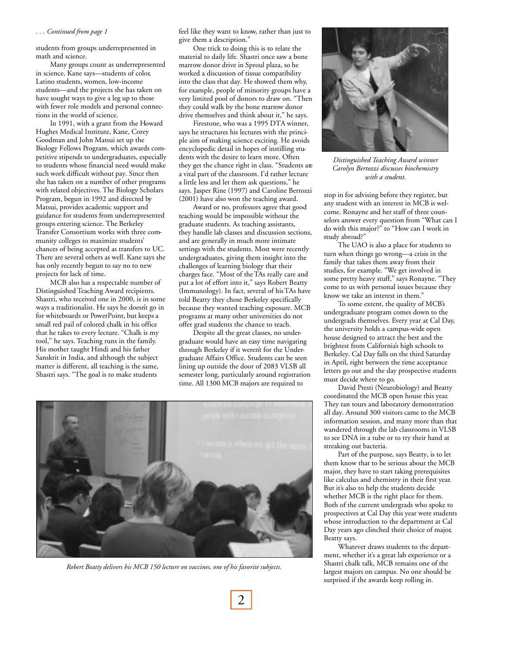#### *. . . Continued from page 1*

students from groups underrepresented in math and science.

Many groups count as underrepresented in science, Kane says—students of color, Latino students, women, low-income students—and the projects she has taken on have sought ways to give a leg up to those with fewer role models and personal connections in the world of science.

In 1991, with a grant from the Howard Hughes Medical Institute, Kane, Corey Goodman and John Matsui set up the Biology Fellows Program, which awards competitive stipends to undergraduates, especially to students whose financial need would make such work difficult without pay. Since then she has taken on a number of other programs with related objectives. The Biology Scholars Program, begun in 1992 and directed by Matsui, provides academic support and guidance for students from underrepresented groups entering science. The Berkeley Transfer Consortium works with three community colleges to maximize students' chances of being accepted as transfers to UC. There are several others as well. Kane says she has only recently begun to say no to new projects for lack of time.

MCB also has a respectable number of Distinguished Teaching Award recipients. Shastri, who received one in 2000, is in some ways a traditionalist. He says he doesn't go in for whiteboards or PowerPoint, but keeps a small red pail of colored chalk in his office that he takes to every lecture. "Chalk is my tool," he says. Teaching runs in the family. His mother taught Hindi and his father Sanskrit in India, and although the subject matter is different, all teaching is the same, Shastri says. "The goal is to make students

feel like they want to know, rather than just to give them a description."

One trick to doing this is to relate the material to daily life. Shastri once saw a bone marrow donor drive in Sproul plaza, so he worked a discussion of tissue compatibility into the class that day. He showed them why, for example, people of minority groups have a very limited pool of donors to draw on. "Then they could walk by the bone marrow donor drive themselves and think about it," he says.

Firestone, who was a 1995 DTA winner, says he structures his lectures with the principle aim of making science exciting. He avoids encyclopedic detail in hopes of instilling students with the desire to learn more. Often they get the chance right in class. "Students are a vital part of the classroom. I'd rather lecture a little less and let them ask questions," he says. Jasper Rine (1997) and Caroline Bertozzi (2001) have also won the teaching award.

Award or no, professors agree that good teaching would be impossible without the graduate students. As teaching assistants, they handle lab classes and discussion sections, and are generally in much more intimate settings with the students. Most were recently undergraduates, giving them insight into the challenges of learning biology that their charges face. "Most of the TAs really care and put a lot of effort into it," says Robert Beatty (Immunology). In fact, several of his TAs have told Beatty they chose Berkeley specifically because they wanted teaching exposure. MCB programs at many other universities do not offer grad students the chance to teach.

Despite all the great classes, no undergraduate would have an easy time navigating through Berkeley if it weren't for the Undergraduate Affairs Office. Students can be seen lining up outside the door of 2083 VLSB all semester long, particularly around registration time. All 1300 MCB majors are required to



*Robert Beatty delivers his MCB 150 lecture on vaccines, one of his favorite subjects.*



*Distinguished Teaching Award winner Carolyn Bertozzi discusses biochemistry with a student.*

stop in for advising before they register, but any student with an interest in MCB is welcome. Ronayne and her staff of three counselors answer every question from "What can I do with this major?" to "How can I work in study abroad?"

The UAO is also a place for students to turn when things go wrong—a crisis in the family that takes them away from their studies, for example. "We get involved in some pretty heavy stuff," says Ronayne. "They come to us with personal issues because they know we take an interest in them."

To some extent, the quality of MCB's undergraduate program comes down to the undergrads themselves. Every year at Cal Day, the university holds a campus-wide open house designed to attract the best and the brightest from California's high schools to Berkeley. Cal Day falls on the third Saturday in April, right between the time acceptance letters go out and the day prospective students must decide where to go.

David Presti (Neurobiology) and Beatty coordinated the MCB open house this year. They ran tours and laboratory demonstration all day. Around 300 visitors came to the MCB information session, and many more than that wandered through the lab classrooms in VLSB to see DNA in a tube or to try their hand at streaking out bacteria.

Part of the purpose, says Beatty, is to let them know that to be serious about the MCB major, they have to start taking prerequisites like calculus and chemistry in their first year. But it's also to help the students decide whether MCB is the right place for them. Both of the current undergrads who spoke to prospectives at Cal Day this year were students whose introduction to the department at Cal Day years ago clinched their choice of major, Beatty says.

Whatever draws students to the department, whether it's a great lab experience or a Shastri chalk talk, MCB remains one of the largest majors on campus. No one should be surprised if the awards keep rolling in.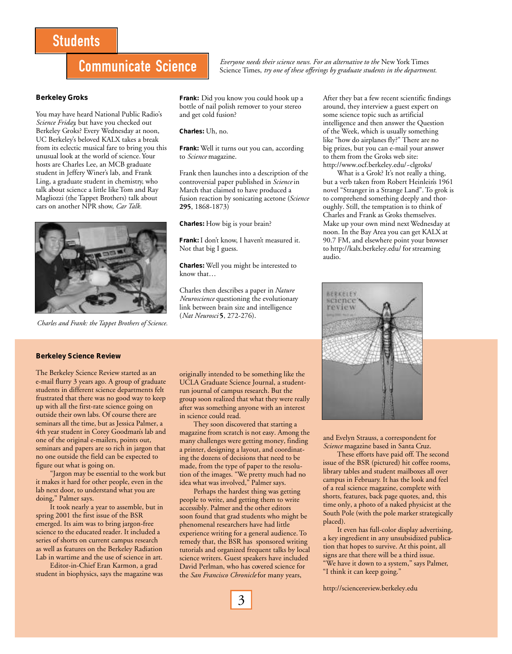## **Students**

## Communicate Science

**Berkeley Groks**

You may have heard National Public Radio's *Science Friday,* but have you checked out Berkeley Groks? Every Wednesday at noon, UC Berkeley's beloved KALX takes a break from its eclectic musical fare to bring you this unusual look at the world of science. Your hosts are Charles Lee, an MCB graduate student in Jeffery Winer's lab, and Frank Ling, a graduate student in chemistry, who talk about science a little like Tom and Ray Magliozzi (the Tappet Brothers) talk about cars on another NPR show, *Car Talk.*



*Charles and Frank: the Tappet Brothers of Science.*

**Frank:** Did you know you could hook up a bottle of nail polish remover to your stereo and get cold fusion?

**Charles:** Uh, no.

**Frank:** Well it turns out you can, according to *Science* magazine.

Frank then launches into a description of the controversial paper published in *Science* in March that claimed to have produced a fusion reaction by sonicating acetone (*Science* **295**, 1868-1873)

**Charles:** How big is your brain?

**Frank:** I don't know, I haven't measured it. Not that big I guess.

**Charles:** Well you might be interested to know that…

Charles then describes a paper in *Nature Neuroscience* questioning the evolutionary link between brain size and intelligence (*Nat Neurosci* **5**, 272-276).

After they bat a few recent scientific findings around, they interview a guest expert on some science topic such as artificial intelligence and then answer the Question of the Week, which is usually something like "how do airplanes fly?" There are no big prizes, but you can e-mail your answer to them from the Groks web site: http://www.ocf.berkeley.edu/~clgroks/

*Everyone needs their science news. For an alternative to the* New York Times Science Times, *try one of these offerings by graduate students in the department.*

> What is a Grok? It's not really a thing, but a verb taken from Robert Heinlein's 1961 novel "Stranger in a Strange Land". To grok is to comprehend something deeply and thoroughly. Still, the temptation is to think of Charles and Frank as Groks themselves. Make up your own mind next Wednesday at noon. In the Bay Area you can get KALX at 90.7 FM, and elsewhere point your browser to http://kalx.berkeley.edu/ for streaming audio.



#### **Berkeley Science Review**

The Berkeley Science Review started as an e-mail flurry 3 years ago. A group of graduate students in different science departments felt frustrated that there was no good way to keep up with all the first-rate science going on outside their own labs. Of course there are seminars all the time, but as Jessica Palmer, a 4th year student in Corey Goodman's lab and one of the original e-mailers, points out, seminars and papers are so rich in jargon that no one outside the field can be expected to figure out what is going on.

"Jargon may be essential to the work but it makes it hard for other people, even in the lab next door, to understand what you are doing," Palmer says.

It took nearly a year to assemble, but in spring 2001 the first issue of the BSR emerged. Its aim was to bring jargon-free science to the educated reader. It included a series of shorts on current campus research as well as features on the Berkeley Radiation Lab in wartime and the use of science in art.

Editor-in-Chief Eran Karmon, a grad student in biophysics, says the magazine was originally intended to be something like the UCLA Graduate Science Journal, a studentrun journal of campus research. But the group soon realized that what they were really after was something anyone with an interest in science could read.

They soon discovered that starting a magazine from scratch is not easy. Among the many challenges were getting money, finding a printer, designing a layout, and coordinating the dozens of decisions that need to be made, from the type of paper to the resolution of the images. "We pretty much had no idea what was involved," Palmer says.

Perhaps the hardest thing was getting people to write, and getting them to write accessibly. Palmer and the other editors soon found that grad students who might be phenomenal researchers have had little experience writing for a general audience. To remedy that, the BSR has sponsored writing tutorials and organized frequent talks by local science writers. Guest speakers have included David Perlman, who has covered science for the *San Francisco Chronicle* for many years,

and Evelyn Strauss, a correspondent for *Science* magazine based in Santa Cruz.

These efforts have paid off. The second issue of the BSR (pictured) hit coffee rooms, library tables and student mailboxes all over campus in February. It has the look and feel of a real science magazine, complete with shorts, features, back page quotes, and, this time only, a photo of a naked physicist at the South Pole (with the pole marker strategically placed).

It even has full-color display advertising, a key ingredient in any unsubsidized publication that hopes to survive. At this point, all signs are that there will be a third issue. "We have it down to a system," says Palmer, "I think it can keep going."

http://sciencereview.berkeley.edu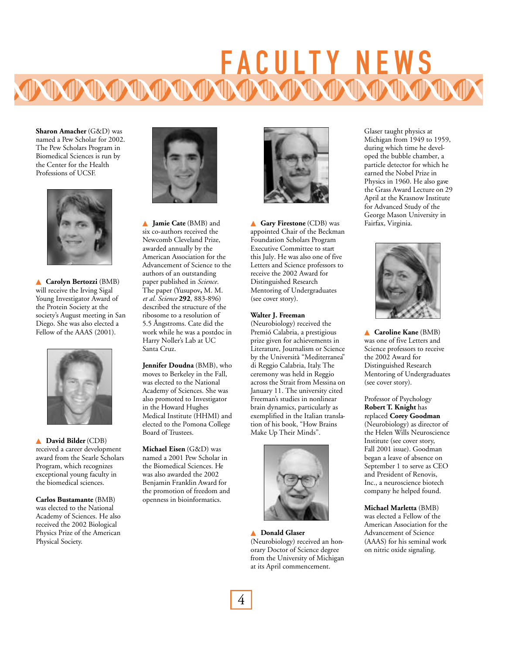## FACULTY NEWS

**Sharon Amacher** (G&D) was named a Pew Scholar for 2002. The Pew Scholars Program in Biomedical Sciences is run by the Center for the Health Professions of UCSF.



▲ **Carolyn Bertozzi** (BMB) will receive the Irving Sigal Young Investigator Award of the Protein Society at the society's August meeting in San Diego. She was also elected a Fellow of the AAAS (2001).



▲ **David Bilder**(CDB) received a career development award from the Searle Scholars Program, which recognizes exceptional young faculty in the biomedical sciences.

**Carlos Bustamante** (BMB) was elected to the National Academy of Sciences. He also received the 2002 Biological Physics Prize of the American Physical Society.



▲ **Jamie Cate** (BMB) and six co-authors received the Newcomb Cleveland Prize, awarded annually by the American Association for the Advancement of Science to the authors of an outstanding paper published in *Science*. The paper (Yusupov**,** M. M. *et al. Science* **292**, 883-896) described the structure of the ribosome to a resolution of 5.5 Ångstroms. Cate did the work while he was a postdoc in Harry Noller's Lab at UC Santa Cruz.

**Jennifer Doudna** (BMB), who moves to Berkeley in the Fall, was elected to the National Academy of Sciences. She was also promoted to Investigator in the Howard Hughes Medical Institute (HHMI) and elected to the Pomona College Board of Trustees.

**Michael Eisen** (G&D) was named a 2001 Pew Scholar in the Biomedical Sciences. He was also awarded the 2002 Benjamin Franklin Award for the promotion of freedom and openness in bioinformatics.



▲ **Gary Firestone** (CDB) was appointed Chair of the Beckman Foundation Scholars Program Executive Committee to start this July. He was also one of five Letters and Science professors to receive the 2002 Award for Distinguished Research Mentoring of Undergraduates (see cover story).

#### **Walter J. Freeman**

(Neurobiology) received the Premió Calabria, a prestigious prize given for achievements in Literature, Journalism or Science by the Università "Mediterranea" di Reggio Calabria, Italy. The ceremony was held in Reggio across the Strait from Messina on January 11. The university cited Freeman's studies in nonlinear brain dynamics, particularly as exemplified in the Italian translation of his book, "How Brains Make Up Their Minds".



▲ **Donald Glaser** (Neurobiology) received an honorary Doctor of Science degree from the University of Michigan at its April commencement.

Glaser taught physics at Michigan from 1949 to 1959, during which time he developed the bubble chamber, a particle detector for which he earned the Nobel Prize in Physics in 1960. He also gave the Grass Award Lecture on 29 April at the Krasnow Institute for Advanced Study of the George Mason University in Fairfax, Virginia.



▲ **Caroline Kane** (BMB) was one of five Letters and Science professors to receive the 2002 Award for Distinguished Research Mentoring of Undergraduates (see cover story).

Professor of Psychology **Robert T. Knight** has replaced **Corey Goodman** (Neurobiology) as director of the Helen Wills Neuroscience Institute (see cover story, Fall 2001 issue). Goodman began a leave of absence on September 1 to serve as CEO and President of Renovis, Inc., a neuroscience biotech company he helped found.

**Michael Marletta** (BMB) was elected a Fellow of the American Association for the Advancement of Science (AAAS) for his seminal work on nitric oxide signaling.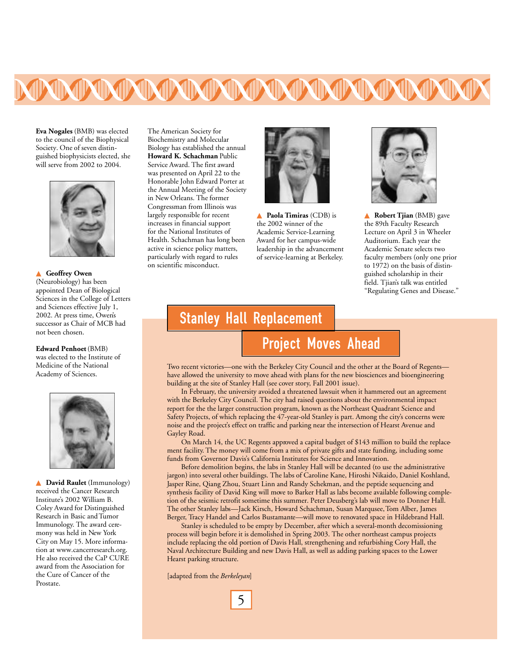

**Eva Nogales** (BMB) was elected to the council of the Biophysical Society. One of seven distinguished biophysicists elected, she will serve from 2002 to 2004.



#### ▲ **Geoffrey Owen**

(Neurobiology) has been appointed Dean of Biological Sciences in the College of Letters and Sciences effective July 1, 2002. At press time, Owen's successor as Chair of MCB had not been chosen.

#### **Edward Penhoet**(BMB)

was elected to the Institute of Medicine of the National Academy of Sciences.



▲ **David Raulet** (Immunology) received the Cancer Research Institute's 2002 William B. Coley Award for Distinguished Research in Basic and Tumor Immunology. The award ceremony was held in New York City on May 15. More information at www.cancerresearch.org. He also received the CaP CURE award from the Association for the Cure of Cancer of the Prostate.

The American Society for Biochemistry and Molecular Biology has established the annual **Howard K. Schachman** Public Service Award. The first award was presented on April 22 to the Honorable John Edward Porter at the Annual Meeting of the Society in New Orleans. The former Congressman from Illinois was largely responsible for recent increases in financial support for the National Institutes of Health. Schachman has long been active in science policy matters, particularly with regard to rules on scientific misconduct.



▲ **Paola Timiras** (CDB) is the 2002 winner of the Academic Service-Learning Award for her campus-wide leadership in the advancement of service-learning at Berkeley.



▲ **Robert Tjian** (BMB) gave the 89th Faculty Research Lecture on April 3 in Wheeler Auditorium. Each year the Academic Senate selects two faculty members (only one prior to 1972) on the basis of distinguished scholarship in their field. Tjian's talk was entitled "Regulating Genes and Disease."

## Stanley Hall Replacement

## Project Moves Ahead

Two recent victories—one with the Berkeley City Council and the other at the Board of Regents have allowed the university to move ahead with plans for the new biosciences and bioengineering building at the site of Stanley Hall (see cover story, Fall 2001 issue).

In February, the university avoided a threatened lawsuit when it hammered out an agreement with the Berkeley City Council. The city had raised questions about the environmental impact report for the the larger construction program, known as the Northeast Quadrant Science and Safety Projects, of which replacing the 47-year-old Stanley is part. Among the city's concerns were noise and the project's effect on traffic and parking near the intersection of Hearst Avenue and Gayley Road.

On March 14, the UC Regents approved a capital budget of \$143 million to build the replacement facility. The money will come from a mix of private gifts and state funding, including some funds from Governor Davis's California Institutes for Science and Innovation.

Before demolition begins, the labs in Stanley Hall will be decanted (to use the administrative jargon) into several other buildings. The labs of Caroline Kane, Hiroshi Nikaido, Daniel Koshland, Jasper Rine, Qiang Zhou, Stuart Linn and Randy Schekman, and the peptide sequencing and synthesis facility of David King will move to Barker Hall as labs become available following completion of the seismic retrofit sometime this summer. Peter Deusberg's lab will move to Donner Hall. The other Stanley labs—Jack Kirsch, Howard Schachman, Susan Marqusee, Tom Alber, James Berger, Tracy Handel and Carlos Bustamante—will move to renovated space in Hildebrand Hall.

Stanley is scheduled to be empty by December, after which a several-month decomissioning process will begin before it is demolished in Spring 2003. The other northeast campus projects include replacing the old portion of Davis Hall, strengthening and refurbishing Cory Hall, the Naval Architecture Building and new Davis Hall, as well as adding parking spaces to the Lower Hearst parking structure.

[adapted from the *Berkeleyan*]

5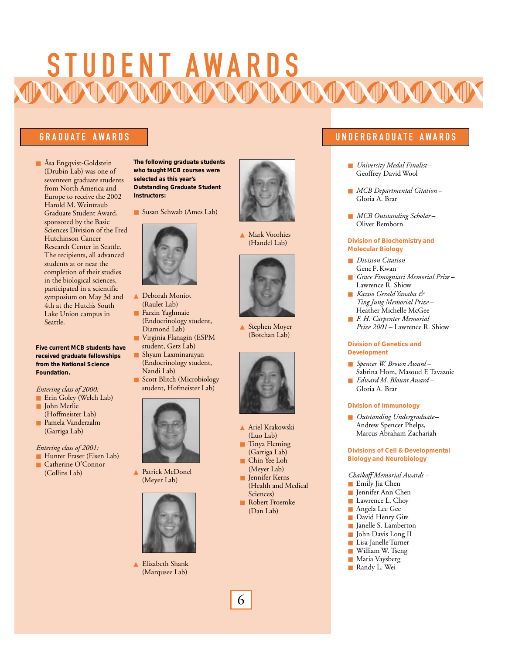# S TUD E N T AWARDS

■ Åsa Engqvist-Goldstein (Drubin Lab) was one of seventeen graduate students from North America and Europe to receive the 2002 Harold M. Weintraub Graduate Student Award, sponsored by the Basic Sciences Division of the Fred Hutchinson Cancer Research Center in Seattle. The recipients, all advanced students at or near the completion of their studies in the biological sciences, participated in a scientific symposium on May 3d and 4th at the Hutch's South Lake Union campus in Seattle.

#### **Five current MCB students have received graduate fellowships from the National Science Foundation.**

### *Entering class of 2000:*

- Erin Goley (Welch Lab)
- John Merlie
- (Hoffmeister Lab) ■ Pamela Vanderzalm (Garriga Lab)

### *Entering class of 2001:*

- Hunter Fraser (Eisen Lab)
- Catherine O'Connor (Collins Lab)

**The following graduate students who taught MCB courses were selected as this year's Outstanding Graduate Student Instructors:**

■ Susan Schwab (Ames Lab)



- ▲ Deborah Moniot (Raulet Lab)
- Farzin Yaghmaie (Endocrinology student, Diamond Lab)
- Virginia Flanagin (ESPM student, Getz Lab)
- Shyam Laxminarayan (Endocrinology student, Nandi Lab) Scott Blitch (Microbiology



▲ Patrick McDonel (Meyer Lab)



▲ Elizabeth Shank (Marqusee Lab)



▲ Mark Voorhies (Handel Lab)



▲ Stephen Moyer (Botchan Lab)



- ▲ Ariel Krakowski (Luo Lab)
- Tinya Fleming (Garriga Lab)
- Chin Yee Loh (Meyer Lab)
- Jennifer Kerns (Health and Medical Sciences)
- Robert Froemke (Dan Lab)

### GRADUATE AWARDS **International Community Community Community Community Community Community Community Community C**

- *University Medal Finalist* Geoffrey David Wool
- *MCB Departmental Citation* Gloria A. Brar
- *MCB Outstanding Scholar*-Oliver Bemborn

#### **Division of Biochemistry and Molecular Biology**

- *Division Citation* Gene F. Kwan
- *Grace Fimogniari Memorial Prize* Lawrence R. Shiow
- *Kazuo Gerald Yanaba & Ting Jung Memorial Prize* – Heather Michelle McGee
- *F. H. Carpenter Memorial Prize 2001* – Lawrence R. Shiow

#### **Division of Genetics and Development**

- *Spencer W. Brown Award* Sabrina Hom, Masoud F. Tavazoie ■ *Edward M. Blount Award* –
- Gloria A. Brar

#### **Division of Immunology**

■ *Outstanding Undergraduate* – Andrew Spencer Phelps, Marcus Abraham Zachariah

#### **Divisions of Cell & Developmental Biology and Neurobiology**

- *Chaikoff Memorial Awards –*
- Emily Jia Chen
- Jennifer Ann Chen
- Lawrence L. Choy
- Angela Lee Gee
- David Henry Gire
- Janelle S. Lamberton
- John Davis Long II
- Lisa Janelle Turner
- William W. Tseng
- Maria Vaysberg ■ Randy L. Wei

6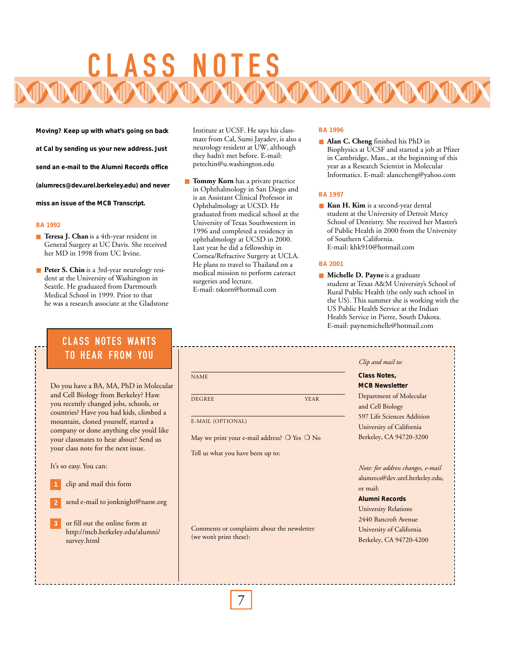# CLASS N

**Moving? Keep up with what's going on back**

**at Cal by sending us your new address. Just**

**send an e-mail to the Alumni Records office**

**(alumrecs@dev.urel.berkeley.edu) and never**

**miss an issue of the MCB Transcript.**

#### **BA 1992**

- **Teresa J. Chan** is a 4th-year resident in General Surgery at UC Davis. She received her MD in 1998 from UC Irvine.
- **Peter S. Chin** is a 3rd-year neurology resident at the University of Washington in Seattle. He graduated from Dartmouth Medical School in 1999. Prior to that he was a research associate at the Gladstone

## **CLASS NOTES WANTS TO HEAR FROM YOU**

Do you have a BA, MA, PhD in Molecular and Cell Biology from Berkeley? Have you recently changed jobs, schools, or countries? Have you had kids, climbed a mountain, cloned yourself, started a company or done anything else you'd like your classmates to hear about? Send us your class note for the next issue.

It's so easy. You can:

- clip and mail this form
- send e-mail to jonknight@nasw.org **2**
- or fill out the online form at http://mcb.berkeley.edu/alumni/ survey.html

Institute at UCSF. He says his classmate from Cal, Sumi Jayadev, is also a neurology resident at UW, although they hadn't met before. E-mail: petechin@u.washington.edu

■ **Tommy Korn** has a private practice in Ophthalmology in San Diego and is an Assistant Clinical Professor in Ophthalmology at UCSD. He graduated from medical school at the University of Texas Southwestern in 1996 and completed a residency in ophthalmology at UCSD in 2000. Last year he did a fellowship in Cornea/Refractive Surgery at UCLA. He plans to travel to Thailand on a medical mission to perform cateract surgeries and lecture. E-mail: tskorn@hotmail.com

#### **BA 1996**

■ **Alan C. Cheng** finished his PhD in Biophysics at UCSF and started a job at Pfizer in Cambridge, Mass., at the beginning of this year as a Research Scientist in Molecular Informatics. E-mail: alanccheng@yahoo.com

### **BA 1997**

■ **Kun H. Kim** is a second-year dental student at the University of Detroit Mercy School of Dentistry. She received her Master's of Public Health in 2000 from the University of Southern California. E-mail: khk910@hotmail.com

### **BA 2001**

■ **Michelle D. Payne** is a graduate student at Texas A&M University's School of Rural Public Health (the only such school in the US). This summer she is working with the US Public Health Service at the Indian Health Service in Pierre, South Dakota. E-mail: paynemichelle@hotmail.com

#### NAME DE GREE THE YEAR TEST OF THE SERIES OF THE SERIES OF THE SERIES OF THE SERIES OF THE SERIES OF THE SERIES OF THE SERIES OF THE SERIES OF THE SERIES OF THE SERIES OF THE SERIES OF THE SERIES OF THE SERIES OF THE SERIES OF T E-MAIL (OPTIONAL) May we print your e-mail address? O Yes O No *Clip and mail to:* **Class Notes, MCB Newsletter** Department of Molecular and Cell Biology 597 Life Sciences Addition University of California Berkeley, CA 94720-3200

Tell us what you have been up to:

Comments or complaints about the newsletter (we won't print these):

*Note: for address changes, e-mail* alumrecs@dev.urel.berkeley.edu, or mail:

**Alumni Records** University Relations 2440 Bancroft Avenue University of California Berkeley, CA 94720-4200